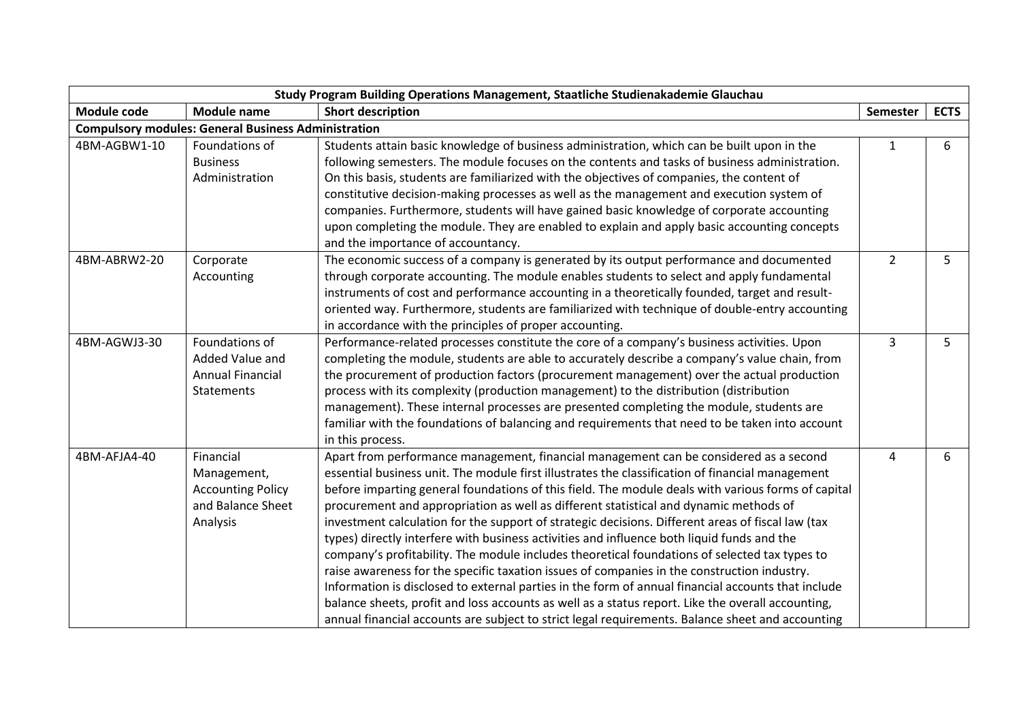|              |                                                            | Study Program Building Operations Management, Staatliche Studienakademie Glauchau                  |                |             |
|--------------|------------------------------------------------------------|----------------------------------------------------------------------------------------------------|----------------|-------------|
| Module code  | <b>Module name</b>                                         | <b>Short description</b>                                                                           | Semester       | <b>ECTS</b> |
|              | <b>Compulsory modules: General Business Administration</b> |                                                                                                    |                |             |
| 4BM-AGBW1-10 | Foundations of                                             | Students attain basic knowledge of business administration, which can be built upon in the         | 1              | 6           |
|              | <b>Business</b>                                            | following semesters. The module focuses on the contents and tasks of business administration.      |                |             |
|              | Administration                                             | On this basis, students are familiarized with the objectives of companies, the content of          |                |             |
|              |                                                            | constitutive decision-making processes as well as the management and execution system of           |                |             |
|              |                                                            | companies. Furthermore, students will have gained basic knowledge of corporate accounting          |                |             |
|              |                                                            | upon completing the module. They are enabled to explain and apply basic accounting concepts        |                |             |
|              |                                                            | and the importance of accountancy.                                                                 |                |             |
| 4BM-ABRW2-20 | Corporate                                                  | The economic success of a company is generated by its output performance and documented            | $\overline{2}$ | 5           |
|              | Accounting                                                 | through corporate accounting. The module enables students to select and apply fundamental          |                |             |
|              |                                                            | instruments of cost and performance accounting in a theoretically founded, target and result-      |                |             |
|              |                                                            | oriented way. Furthermore, students are familiarized with technique of double-entry accounting     |                |             |
|              |                                                            | in accordance with the principles of proper accounting.                                            |                |             |
| 4BM-AGWJ3-30 | Foundations of                                             | Performance-related processes constitute the core of a company's business activities. Upon         | 3              | 5           |
|              | Added Value and                                            | completing the module, students are able to accurately describe a company's value chain, from      |                |             |
|              | <b>Annual Financial</b>                                    | the procurement of production factors (procurement management) over the actual production          |                |             |
|              | <b>Statements</b>                                          | process with its complexity (production management) to the distribution (distribution              |                |             |
|              |                                                            | management). These internal processes are presented completing the module, students are            |                |             |
|              |                                                            | familiar with the foundations of balancing and requirements that need to be taken into account     |                |             |
|              |                                                            | in this process.                                                                                   |                |             |
| 4BM-AFJA4-40 | Financial                                                  | Apart from performance management, financial management can be considered as a second              | 4              | 6           |
|              | Management,                                                | essential business unit. The module first illustrates the classification of financial management   |                |             |
|              | <b>Accounting Policy</b>                                   | before imparting general foundations of this field. The module deals with various forms of capital |                |             |
|              | and Balance Sheet                                          | procurement and appropriation as well as different statistical and dynamic methods of              |                |             |
|              | Analysis                                                   | investment calculation for the support of strategic decisions. Different areas of fiscal law (tax  |                |             |
|              |                                                            | types) directly interfere with business activities and influence both liquid funds and the         |                |             |
|              |                                                            | company's profitability. The module includes theoretical foundations of selected tax types to      |                |             |
|              |                                                            | raise awareness for the specific taxation issues of companies in the construction industry.        |                |             |
|              |                                                            | Information is disclosed to external parties in the form of annual financial accounts that include |                |             |
|              |                                                            | balance sheets, profit and loss accounts as well as a status report. Like the overall accounting,  |                |             |
|              |                                                            | annual financial accounts are subject to strict legal requirements. Balance sheet and accounting   |                |             |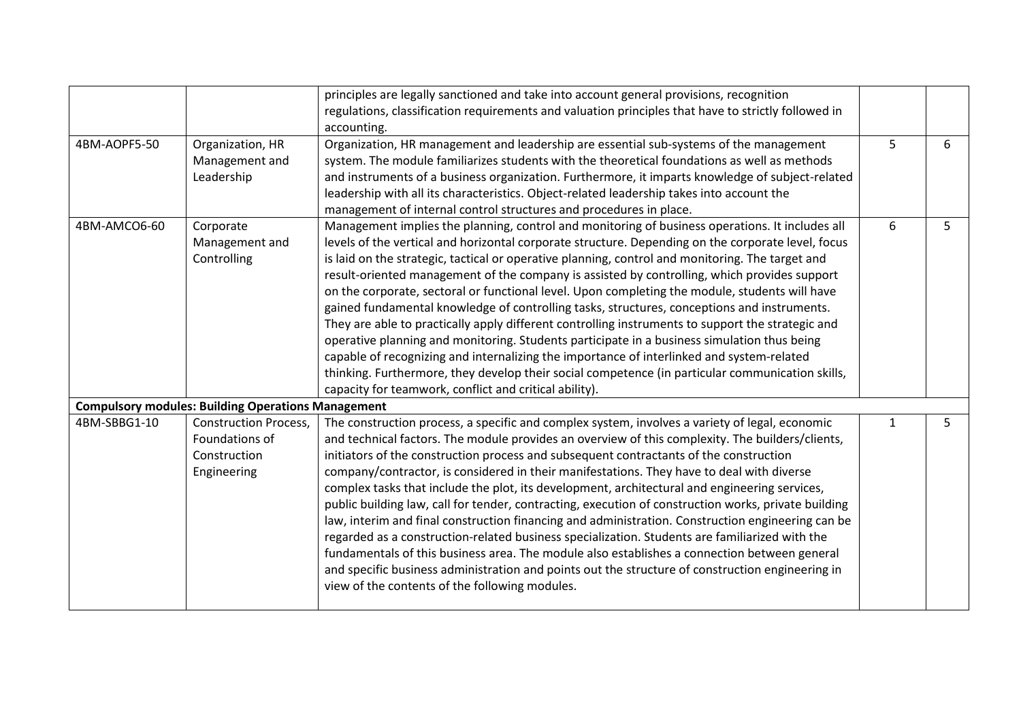|                                                                                                                                                                                                                                                                                                                                                                                                                                                                                                                                                                                                                                                                                                                                                                                                                                                                                                                                                                                                                                                                                                                                                                             |                  | principles are legally sanctioned and take into account general provisions, recognition             |              |    |
|-----------------------------------------------------------------------------------------------------------------------------------------------------------------------------------------------------------------------------------------------------------------------------------------------------------------------------------------------------------------------------------------------------------------------------------------------------------------------------------------------------------------------------------------------------------------------------------------------------------------------------------------------------------------------------------------------------------------------------------------------------------------------------------------------------------------------------------------------------------------------------------------------------------------------------------------------------------------------------------------------------------------------------------------------------------------------------------------------------------------------------------------------------------------------------|------------------|-----------------------------------------------------------------------------------------------------|--------------|----|
|                                                                                                                                                                                                                                                                                                                                                                                                                                                                                                                                                                                                                                                                                                                                                                                                                                                                                                                                                                                                                                                                                                                                                                             |                  | regulations, classification requirements and valuation principles that have to strictly followed in |              |    |
|                                                                                                                                                                                                                                                                                                                                                                                                                                                                                                                                                                                                                                                                                                                                                                                                                                                                                                                                                                                                                                                                                                                                                                             |                  | accounting.                                                                                         |              |    |
| 4BM-AOPF5-50                                                                                                                                                                                                                                                                                                                                                                                                                                                                                                                                                                                                                                                                                                                                                                                                                                                                                                                                                                                                                                                                                                                                                                | Organization, HR | Organization, HR management and leadership are essential sub-systems of the management              | 5            | 6  |
|                                                                                                                                                                                                                                                                                                                                                                                                                                                                                                                                                                                                                                                                                                                                                                                                                                                                                                                                                                                                                                                                                                                                                                             | Management and   | system. The module familiarizes students with the theoretical foundations as well as methods        |              |    |
|                                                                                                                                                                                                                                                                                                                                                                                                                                                                                                                                                                                                                                                                                                                                                                                                                                                                                                                                                                                                                                                                                                                                                                             | Leadership       | and instruments of a business organization. Furthermore, it imparts knowledge of subject-related    |              |    |
|                                                                                                                                                                                                                                                                                                                                                                                                                                                                                                                                                                                                                                                                                                                                                                                                                                                                                                                                                                                                                                                                                                                                                                             |                  | leadership with all its characteristics. Object-related leadership takes into account the           |              |    |
|                                                                                                                                                                                                                                                                                                                                                                                                                                                                                                                                                                                                                                                                                                                                                                                                                                                                                                                                                                                                                                                                                                                                                                             |                  | management of internal control structures and procedures in place.                                  |              |    |
| 4BM-AMCO6-60                                                                                                                                                                                                                                                                                                                                                                                                                                                                                                                                                                                                                                                                                                                                                                                                                                                                                                                                                                                                                                                                                                                                                                | Corporate        | Management implies the planning, control and monitoring of business operations. It includes all     | 6            | 5  |
|                                                                                                                                                                                                                                                                                                                                                                                                                                                                                                                                                                                                                                                                                                                                                                                                                                                                                                                                                                                                                                                                                                                                                                             | Management and   | levels of the vertical and horizontal corporate structure. Depending on the corporate level, focus  |              |    |
|                                                                                                                                                                                                                                                                                                                                                                                                                                                                                                                                                                                                                                                                                                                                                                                                                                                                                                                                                                                                                                                                                                                                                                             | Controlling      | is laid on the strategic, tactical or operative planning, control and monitoring. The target and    |              |    |
|                                                                                                                                                                                                                                                                                                                                                                                                                                                                                                                                                                                                                                                                                                                                                                                                                                                                                                                                                                                                                                                                                                                                                                             |                  | result-oriented management of the company is assisted by controlling, which provides support        |              |    |
|                                                                                                                                                                                                                                                                                                                                                                                                                                                                                                                                                                                                                                                                                                                                                                                                                                                                                                                                                                                                                                                                                                                                                                             |                  | on the corporate, sectoral or functional level. Upon completing the module, students will have      |              |    |
|                                                                                                                                                                                                                                                                                                                                                                                                                                                                                                                                                                                                                                                                                                                                                                                                                                                                                                                                                                                                                                                                                                                                                                             |                  | gained fundamental knowledge of controlling tasks, structures, conceptions and instruments.         |              |    |
|                                                                                                                                                                                                                                                                                                                                                                                                                                                                                                                                                                                                                                                                                                                                                                                                                                                                                                                                                                                                                                                                                                                                                                             |                  | They are able to practically apply different controlling instruments to support the strategic and   |              |    |
|                                                                                                                                                                                                                                                                                                                                                                                                                                                                                                                                                                                                                                                                                                                                                                                                                                                                                                                                                                                                                                                                                                                                                                             |                  | operative planning and monitoring. Students participate in a business simulation thus being         |              |    |
|                                                                                                                                                                                                                                                                                                                                                                                                                                                                                                                                                                                                                                                                                                                                                                                                                                                                                                                                                                                                                                                                                                                                                                             |                  | capable of recognizing and internalizing the importance of interlinked and system-related           |              |    |
|                                                                                                                                                                                                                                                                                                                                                                                                                                                                                                                                                                                                                                                                                                                                                                                                                                                                                                                                                                                                                                                                                                                                                                             |                  | thinking. Furthermore, they develop their social competence (in particular communication skills,    |              |    |
|                                                                                                                                                                                                                                                                                                                                                                                                                                                                                                                                                                                                                                                                                                                                                                                                                                                                                                                                                                                                                                                                                                                                                                             |                  | capacity for teamwork, conflict and critical ability).                                              |              |    |
| <b>Compulsory modules: Building Operations Management</b><br>The construction process, a specific and complex system, involves a variety of legal, economic<br>4BM-SBBG1-10<br><b>Construction Process,</b><br>Foundations of<br>and technical factors. The module provides an overview of this complexity. The builders/clients,<br>initiators of the construction process and subsequent contractants of the construction<br>Construction<br>company/contractor, is considered in their manifestations. They have to deal with diverse<br>Engineering<br>complex tasks that include the plot, its development, architectural and engineering services,<br>public building law, call for tender, contracting, execution of construction works, private building<br>law, interim and final construction financing and administration. Construction engineering can be<br>regarded as a construction-related business specialization. Students are familiarized with the<br>fundamentals of this business area. The module also establishes a connection between general<br>and specific business administration and points out the structure of construction engineering in |                  |                                                                                                     |              |    |
|                                                                                                                                                                                                                                                                                                                                                                                                                                                                                                                                                                                                                                                                                                                                                                                                                                                                                                                                                                                                                                                                                                                                                                             |                  |                                                                                                     | $\mathbf{1}$ | 5. |
|                                                                                                                                                                                                                                                                                                                                                                                                                                                                                                                                                                                                                                                                                                                                                                                                                                                                                                                                                                                                                                                                                                                                                                             |                  |                                                                                                     |              |    |
|                                                                                                                                                                                                                                                                                                                                                                                                                                                                                                                                                                                                                                                                                                                                                                                                                                                                                                                                                                                                                                                                                                                                                                             |                  |                                                                                                     |              |    |
|                                                                                                                                                                                                                                                                                                                                                                                                                                                                                                                                                                                                                                                                                                                                                                                                                                                                                                                                                                                                                                                                                                                                                                             |                  |                                                                                                     |              |    |
|                                                                                                                                                                                                                                                                                                                                                                                                                                                                                                                                                                                                                                                                                                                                                                                                                                                                                                                                                                                                                                                                                                                                                                             |                  |                                                                                                     |              |    |
|                                                                                                                                                                                                                                                                                                                                                                                                                                                                                                                                                                                                                                                                                                                                                                                                                                                                                                                                                                                                                                                                                                                                                                             |                  |                                                                                                     |              |    |
|                                                                                                                                                                                                                                                                                                                                                                                                                                                                                                                                                                                                                                                                                                                                                                                                                                                                                                                                                                                                                                                                                                                                                                             |                  |                                                                                                     |              |    |
|                                                                                                                                                                                                                                                                                                                                                                                                                                                                                                                                                                                                                                                                                                                                                                                                                                                                                                                                                                                                                                                                                                                                                                             |                  |                                                                                                     |              |    |
|                                                                                                                                                                                                                                                                                                                                                                                                                                                                                                                                                                                                                                                                                                                                                                                                                                                                                                                                                                                                                                                                                                                                                                             |                  |                                                                                                     |              |    |
|                                                                                                                                                                                                                                                                                                                                                                                                                                                                                                                                                                                                                                                                                                                                                                                                                                                                                                                                                                                                                                                                                                                                                                             |                  |                                                                                                     |              |    |
|                                                                                                                                                                                                                                                                                                                                                                                                                                                                                                                                                                                                                                                                                                                                                                                                                                                                                                                                                                                                                                                                                                                                                                             |                  | view of the contents of the following modules.                                                      |              |    |
|                                                                                                                                                                                                                                                                                                                                                                                                                                                                                                                                                                                                                                                                                                                                                                                                                                                                                                                                                                                                                                                                                                                                                                             |                  |                                                                                                     |              |    |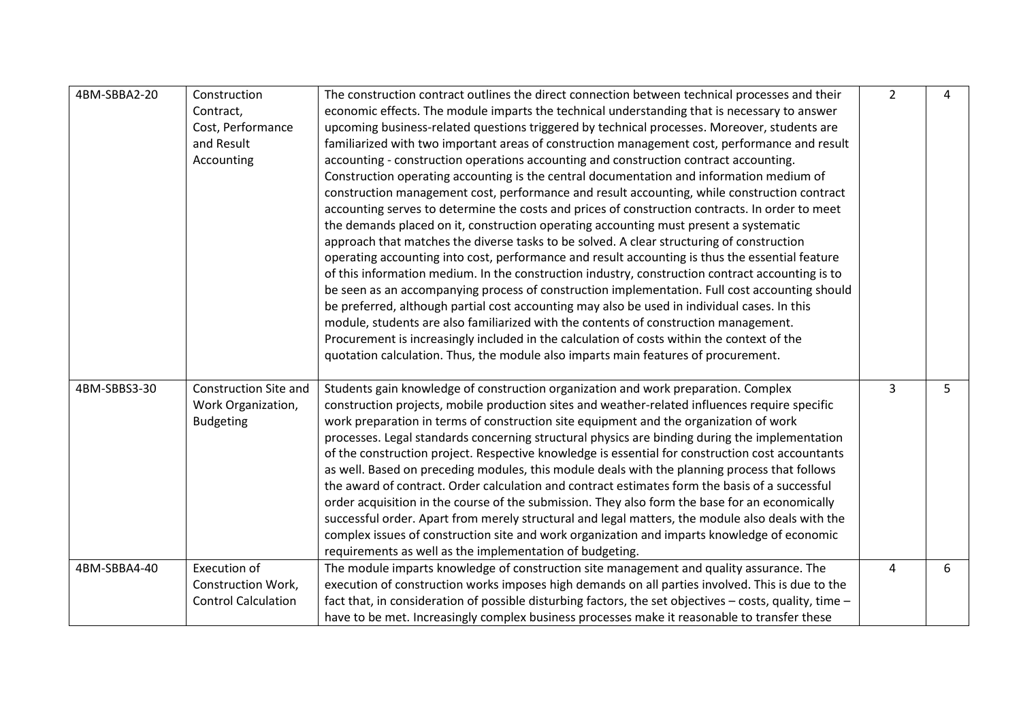| 4BM-SBBA2-20 | Construction                 | The construction contract outlines the direct connection between technical processes and their          | $\overline{2}$ | 4 |
|--------------|------------------------------|---------------------------------------------------------------------------------------------------------|----------------|---|
|              | Contract,                    | economic effects. The module imparts the technical understanding that is necessary to answer            |                |   |
|              | Cost, Performance            | upcoming business-related questions triggered by technical processes. Moreover, students are            |                |   |
|              | and Result                   | familiarized with two important areas of construction management cost, performance and result           |                |   |
|              | Accounting                   | accounting - construction operations accounting and construction contract accounting.                   |                |   |
|              |                              | Construction operating accounting is the central documentation and information medium of                |                |   |
|              |                              | construction management cost, performance and result accounting, while construction contract            |                |   |
|              |                              | accounting serves to determine the costs and prices of construction contracts. In order to meet         |                |   |
|              |                              | the demands placed on it, construction operating accounting must present a systematic                   |                |   |
|              |                              | approach that matches the diverse tasks to be solved. A clear structuring of construction               |                |   |
|              |                              | operating accounting into cost, performance and result accounting is thus the essential feature         |                |   |
|              |                              | of this information medium. In the construction industry, construction contract accounting is to        |                |   |
|              |                              | be seen as an accompanying process of construction implementation. Full cost accounting should          |                |   |
|              |                              | be preferred, although partial cost accounting may also be used in individual cases. In this            |                |   |
|              |                              | module, students are also familiarized with the contents of construction management.                    |                |   |
|              |                              | Procurement is increasingly included in the calculation of costs within the context of the              |                |   |
|              |                              | quotation calculation. Thus, the module also imparts main features of procurement.                      |                |   |
|              |                              |                                                                                                         |                |   |
| 4BM-SBBS3-30 | <b>Construction Site and</b> | Students gain knowledge of construction organization and work preparation. Complex                      | $\overline{3}$ | 5 |
|              | Work Organization,           | construction projects, mobile production sites and weather-related influences require specific          |                |   |
|              | <b>Budgeting</b>             | work preparation in terms of construction site equipment and the organization of work                   |                |   |
|              |                              | processes. Legal standards concerning structural physics are binding during the implementation          |                |   |
|              |                              | of the construction project. Respective knowledge is essential for construction cost accountants        |                |   |
|              |                              | as well. Based on preceding modules, this module deals with the planning process that follows           |                |   |
|              |                              | the award of contract. Order calculation and contract estimates form the basis of a successful          |                |   |
|              |                              | order acquisition in the course of the submission. They also form the base for an economically          |                |   |
|              |                              | successful order. Apart from merely structural and legal matters, the module also deals with the        |                |   |
|              |                              | complex issues of construction site and work organization and imparts knowledge of economic             |                |   |
|              |                              | requirements as well as the implementation of budgeting.                                                |                |   |
| 4BM-SBBA4-40 | Execution of                 | The module imparts knowledge of construction site management and quality assurance. The                 | 4              | 6 |
|              | Construction Work,           | execution of construction works imposes high demands on all parties involved. This is due to the        |                |   |
|              | <b>Control Calculation</b>   | fact that, in consideration of possible disturbing factors, the set objectives - costs, quality, time - |                |   |
|              |                              | have to be met. Increasingly complex business processes make it reasonable to transfer these            |                |   |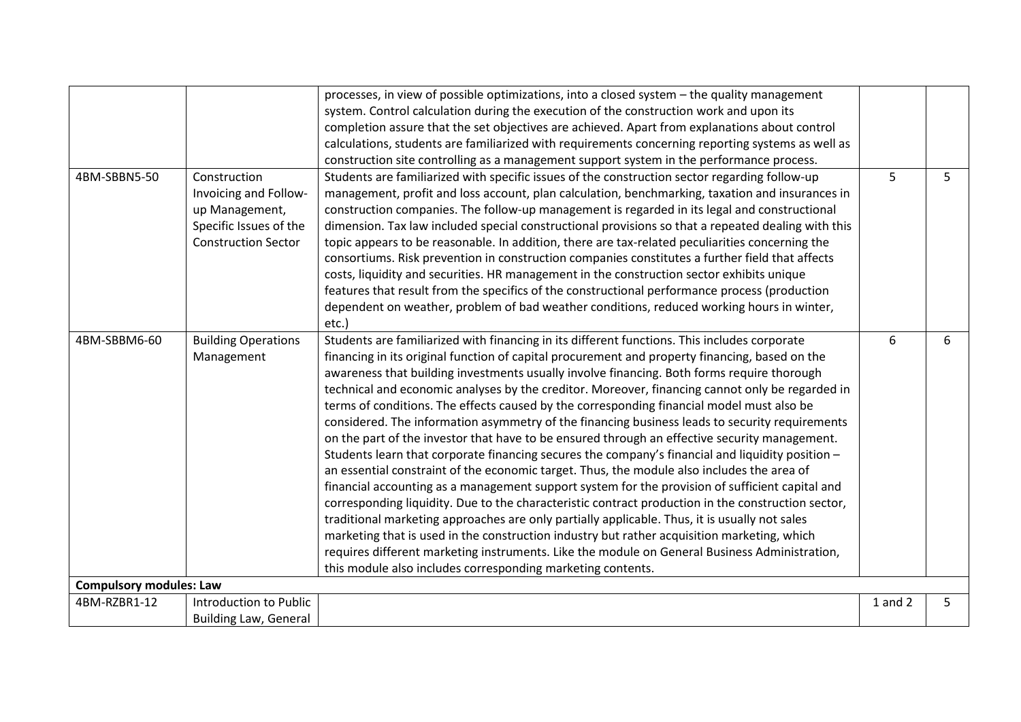|                                |                                                                                                                 | processes, in view of possible optimizations, into a closed system - the quality management                                                                                                                                                                                                                                                                                                                                                                                                                                                                                                                                                                                                                                                                                                                                                                                                                                                                                                                                                                                                                                                                                                                                                                                                                                                                                                                                                                                |             |   |
|--------------------------------|-----------------------------------------------------------------------------------------------------------------|----------------------------------------------------------------------------------------------------------------------------------------------------------------------------------------------------------------------------------------------------------------------------------------------------------------------------------------------------------------------------------------------------------------------------------------------------------------------------------------------------------------------------------------------------------------------------------------------------------------------------------------------------------------------------------------------------------------------------------------------------------------------------------------------------------------------------------------------------------------------------------------------------------------------------------------------------------------------------------------------------------------------------------------------------------------------------------------------------------------------------------------------------------------------------------------------------------------------------------------------------------------------------------------------------------------------------------------------------------------------------------------------------------------------------------------------------------------------------|-------------|---|
|                                |                                                                                                                 | system. Control calculation during the execution of the construction work and upon its                                                                                                                                                                                                                                                                                                                                                                                                                                                                                                                                                                                                                                                                                                                                                                                                                                                                                                                                                                                                                                                                                                                                                                                                                                                                                                                                                                                     |             |   |
|                                |                                                                                                                 | completion assure that the set objectives are achieved. Apart from explanations about control                                                                                                                                                                                                                                                                                                                                                                                                                                                                                                                                                                                                                                                                                                                                                                                                                                                                                                                                                                                                                                                                                                                                                                                                                                                                                                                                                                              |             |   |
|                                |                                                                                                                 | calculations, students are familiarized with requirements concerning reporting systems as well as                                                                                                                                                                                                                                                                                                                                                                                                                                                                                                                                                                                                                                                                                                                                                                                                                                                                                                                                                                                                                                                                                                                                                                                                                                                                                                                                                                          |             |   |
|                                |                                                                                                                 | construction site controlling as a management support system in the performance process.                                                                                                                                                                                                                                                                                                                                                                                                                                                                                                                                                                                                                                                                                                                                                                                                                                                                                                                                                                                                                                                                                                                                                                                                                                                                                                                                                                                   |             |   |
| 4BM-SBBN5-50                   | Construction<br>Invoicing and Follow-<br>up Management,<br>Specific Issues of the<br><b>Construction Sector</b> | Students are familiarized with specific issues of the construction sector regarding follow-up<br>management, profit and loss account, plan calculation, benchmarking, taxation and insurances in<br>construction companies. The follow-up management is regarded in its legal and constructional<br>dimension. Tax law included special constructional provisions so that a repeated dealing with this<br>topic appears to be reasonable. In addition, there are tax-related peculiarities concerning the<br>consortiums. Risk prevention in construction companies constitutes a further field that affects<br>costs, liquidity and securities. HR management in the construction sector exhibits unique<br>features that result from the specifics of the constructional performance process (production<br>dependent on weather, problem of bad weather conditions, reduced working hours in winter,<br>etc.)                                                                                                                                                                                                                                                                                                                                                                                                                                                                                                                                                           | 5           | 5 |
| 4BM-SBBM6-60                   | <b>Building Operations</b><br>Management                                                                        | Students are familiarized with financing in its different functions. This includes corporate<br>financing in its original function of capital procurement and property financing, based on the<br>awareness that building investments usually involve financing. Both forms require thorough<br>technical and economic analyses by the creditor. Moreover, financing cannot only be regarded in<br>terms of conditions. The effects caused by the corresponding financial model must also be<br>considered. The information asymmetry of the financing business leads to security requirements<br>on the part of the investor that have to be ensured through an effective security management.<br>Students learn that corporate financing secures the company's financial and liquidity position -<br>an essential constraint of the economic target. Thus, the module also includes the area of<br>financial accounting as a management support system for the provision of sufficient capital and<br>corresponding liquidity. Due to the characteristic contract production in the construction sector,<br>traditional marketing approaches are only partially applicable. Thus, it is usually not sales<br>marketing that is used in the construction industry but rather acquisition marketing, which<br>requires different marketing instruments. Like the module on General Business Administration,<br>this module also includes corresponding marketing contents. | 6           | 6 |
| <b>Compulsory modules: Law</b> |                                                                                                                 |                                                                                                                                                                                                                                                                                                                                                                                                                                                                                                                                                                                                                                                                                                                                                                                                                                                                                                                                                                                                                                                                                                                                                                                                                                                                                                                                                                                                                                                                            |             |   |
| 4BM-RZBR1-12                   | Introduction to Public                                                                                          |                                                                                                                                                                                                                                                                                                                                                                                                                                                                                                                                                                                                                                                                                                                                                                                                                                                                                                                                                                                                                                                                                                                                                                                                                                                                                                                                                                                                                                                                            | $1$ and $2$ | 5 |
|                                | <b>Building Law, General</b>                                                                                    |                                                                                                                                                                                                                                                                                                                                                                                                                                                                                                                                                                                                                                                                                                                                                                                                                                                                                                                                                                                                                                                                                                                                                                                                                                                                                                                                                                                                                                                                            |             |   |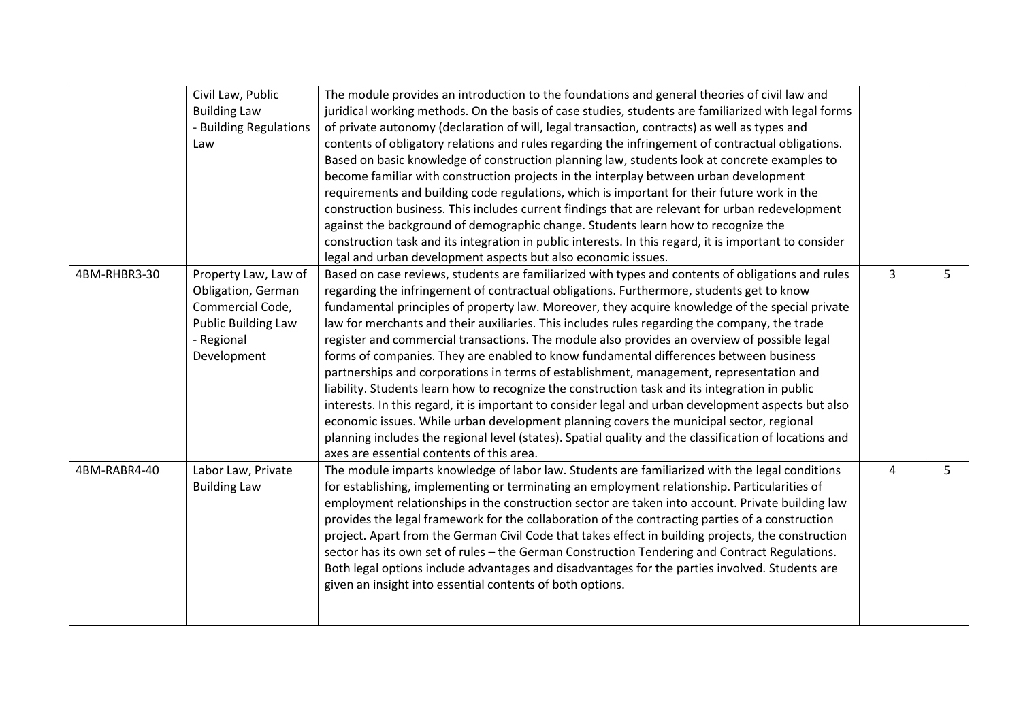|              | Civil Law, Public<br><b>Building Law</b><br>- Building Regulations<br>Law                                                 | The module provides an introduction to the foundations and general theories of civil law and<br>juridical working methods. On the basis of case studies, students are familiarized with legal forms<br>of private autonomy (declaration of will, legal transaction, contracts) as well as types and<br>contents of obligatory relations and rules regarding the infringement of contractual obligations.<br>Based on basic knowledge of construction planning law, students look at concrete examples to<br>become familiar with construction projects in the interplay between urban development<br>requirements and building code regulations, which is important for their future work in the<br>construction business. This includes current findings that are relevant for urban redevelopment<br>against the background of demographic change. Students learn how to recognize the<br>construction task and its integration in public interests. In this regard, it is important to consider<br>legal and urban development aspects but also economic issues.                                                                              |   |   |
|--------------|---------------------------------------------------------------------------------------------------------------------------|--------------------------------------------------------------------------------------------------------------------------------------------------------------------------------------------------------------------------------------------------------------------------------------------------------------------------------------------------------------------------------------------------------------------------------------------------------------------------------------------------------------------------------------------------------------------------------------------------------------------------------------------------------------------------------------------------------------------------------------------------------------------------------------------------------------------------------------------------------------------------------------------------------------------------------------------------------------------------------------------------------------------------------------------------------------------------------------------------------------------------------------------------|---|---|
| 4BM-RHBR3-30 | Property Law, Law of<br>Obligation, German<br>Commercial Code,<br><b>Public Building Law</b><br>- Regional<br>Development | Based on case reviews, students are familiarized with types and contents of obligations and rules<br>regarding the infringement of contractual obligations. Furthermore, students get to know<br>fundamental principles of property law. Moreover, they acquire knowledge of the special private<br>law for merchants and their auxiliaries. This includes rules regarding the company, the trade<br>register and commercial transactions. The module also provides an overview of possible legal<br>forms of companies. They are enabled to know fundamental differences between business<br>partnerships and corporations in terms of establishment, management, representation and<br>liability. Students learn how to recognize the construction task and its integration in public<br>interests. In this regard, it is important to consider legal and urban development aspects but also<br>economic issues. While urban development planning covers the municipal sector, regional<br>planning includes the regional level (states). Spatial quality and the classification of locations and<br>axes are essential contents of this area. | 3 | 5 |
| 4BM-RABR4-40 | Labor Law, Private<br><b>Building Law</b>                                                                                 | The module imparts knowledge of labor law. Students are familiarized with the legal conditions<br>for establishing, implementing or terminating an employment relationship. Particularities of<br>employment relationships in the construction sector are taken into account. Private building law<br>provides the legal framework for the collaboration of the contracting parties of a construction<br>project. Apart from the German Civil Code that takes effect in building projects, the construction<br>sector has its own set of rules - the German Construction Tendering and Contract Regulations.<br>Both legal options include advantages and disadvantages for the parties involved. Students are<br>given an insight into essential contents of both options.                                                                                                                                                                                                                                                                                                                                                                      | 4 | 5 |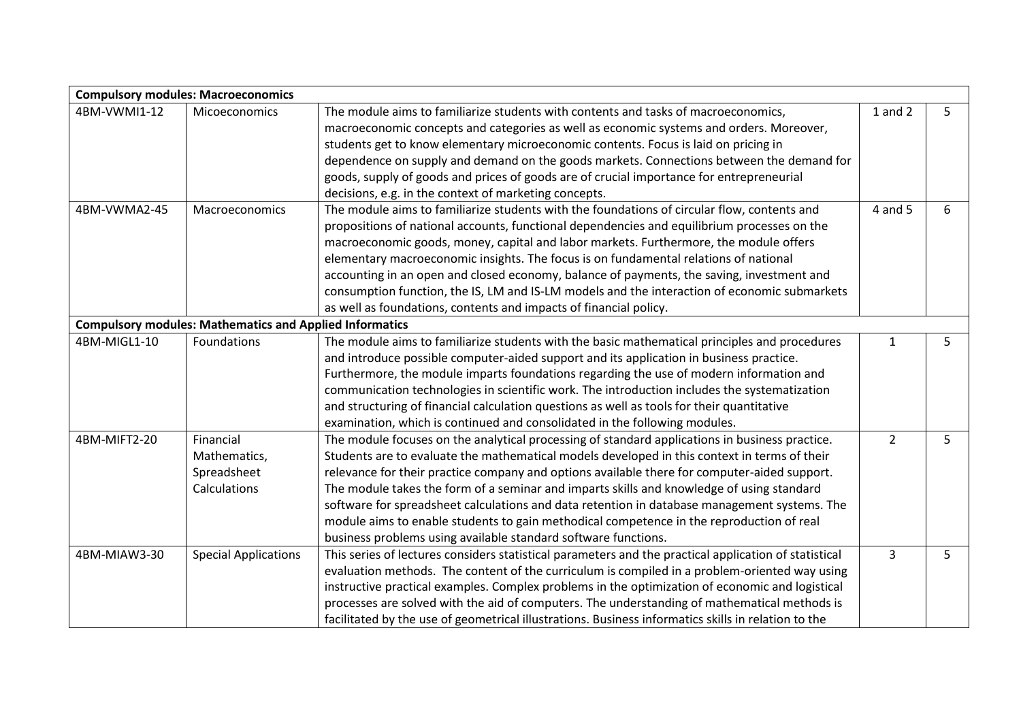|                                                                | <b>Compulsory modules: Macroeconomics</b> |                                                                                                       |                |   |
|----------------------------------------------------------------|-------------------------------------------|-------------------------------------------------------------------------------------------------------|----------------|---|
| 4BM-VWMI1-12                                                   | Micoeconomics                             | The module aims to familiarize students with contents and tasks of macroeconomics,                    | $1$ and $2$    | 5 |
|                                                                |                                           | macroeconomic concepts and categories as well as economic systems and orders. Moreover,               |                |   |
|                                                                |                                           | students get to know elementary microeconomic contents. Focus is laid on pricing in                   |                |   |
|                                                                |                                           | dependence on supply and demand on the goods markets. Connections between the demand for              |                |   |
|                                                                |                                           | goods, supply of goods and prices of goods are of crucial importance for entrepreneurial              |                |   |
|                                                                |                                           | decisions, e.g. in the context of marketing concepts.                                                 |                |   |
| 4BM-VWMA2-45                                                   | Macroeconomics                            | The module aims to familiarize students with the foundations of circular flow, contents and           | 4 and 5        | 6 |
|                                                                |                                           | propositions of national accounts, functional dependencies and equilibrium processes on the           |                |   |
|                                                                |                                           | macroeconomic goods, money, capital and labor markets. Furthermore, the module offers                 |                |   |
|                                                                |                                           | elementary macroeconomic insights. The focus is on fundamental relations of national                  |                |   |
|                                                                |                                           | accounting in an open and closed economy, balance of payments, the saving, investment and             |                |   |
|                                                                |                                           | consumption function, the IS, LM and IS-LM models and the interaction of economic submarkets          |                |   |
|                                                                |                                           | as well as foundations, contents and impacts of financial policy.                                     |                |   |
| <b>Compulsory modules: Mathematics and Applied Informatics</b> |                                           |                                                                                                       |                |   |
| 4BM-MIGL1-10                                                   | Foundations                               | The module aims to familiarize students with the basic mathematical principles and procedures         | 1              | 5 |
|                                                                |                                           | and introduce possible computer-aided support and its application in business practice.               |                |   |
|                                                                |                                           | Furthermore, the module imparts foundations regarding the use of modern information and               |                |   |
|                                                                |                                           | communication technologies in scientific work. The introduction includes the systematization          |                |   |
|                                                                |                                           | and structuring of financial calculation questions as well as tools for their quantitative            |                |   |
|                                                                |                                           | examination, which is continued and consolidated in the following modules.                            |                |   |
| 4BM-MIFT2-20                                                   | Financial                                 | The module focuses on the analytical processing of standard applications in business practice.        | $\overline{2}$ | 5 |
|                                                                | Mathematics,                              | Students are to evaluate the mathematical models developed in this context in terms of their          |                |   |
|                                                                | Spreadsheet                               | relevance for their practice company and options available there for computer-aided support.          |                |   |
|                                                                | Calculations                              | The module takes the form of a seminar and imparts skills and knowledge of using standard             |                |   |
|                                                                |                                           | software for spreadsheet calculations and data retention in database management systems. The          |                |   |
|                                                                |                                           | module aims to enable students to gain methodical competence in the reproduction of real              |                |   |
|                                                                |                                           | business problems using available standard software functions.                                        |                |   |
| 4BM-MIAW3-30                                                   | <b>Special Applications</b>               | This series of lectures considers statistical parameters and the practical application of statistical | $\overline{3}$ | 5 |
|                                                                |                                           | evaluation methods. The content of the curriculum is compiled in a problem-oriented way using         |                |   |
|                                                                |                                           | instructive practical examples. Complex problems in the optimization of economic and logistical       |                |   |
|                                                                |                                           | processes are solved with the aid of computers. The understanding of mathematical methods is          |                |   |
|                                                                |                                           | facilitated by the use of geometrical illustrations. Business informatics skills in relation to the   |                |   |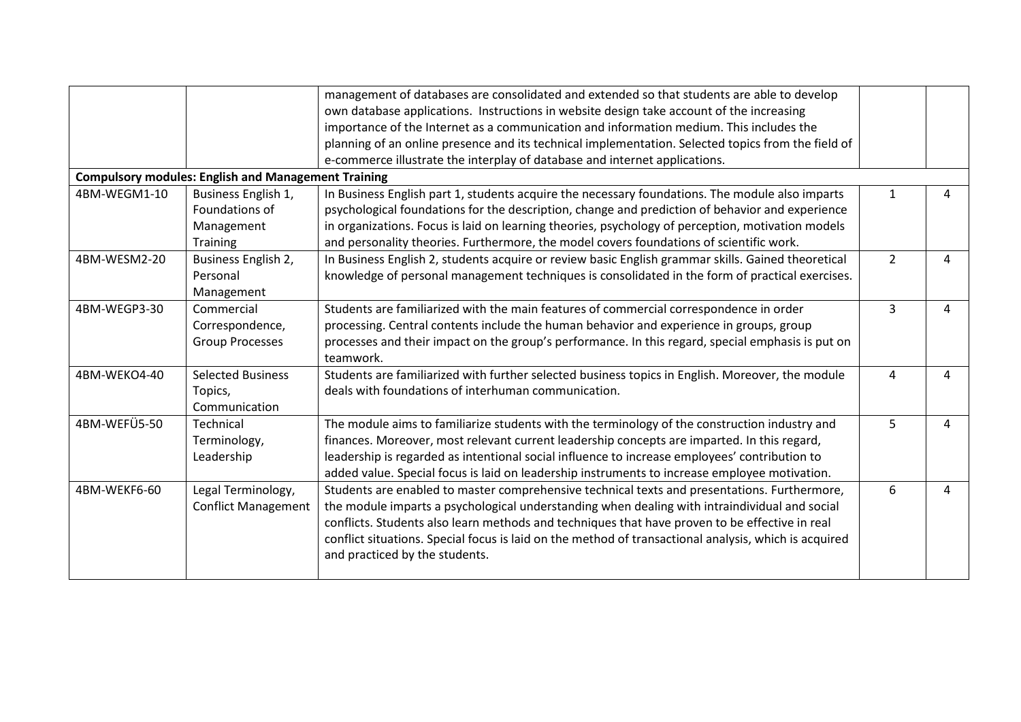|              |                                                            | management of databases are consolidated and extended so that students are able to develop            |                |   |
|--------------|------------------------------------------------------------|-------------------------------------------------------------------------------------------------------|----------------|---|
|              |                                                            | own database applications. Instructions in website design take account of the increasing              |                |   |
|              |                                                            | importance of the Internet as a communication and information medium. This includes the               |                |   |
|              |                                                            | planning of an online presence and its technical implementation. Selected topics from the field of    |                |   |
|              |                                                            | e-commerce illustrate the interplay of database and internet applications.                            |                |   |
|              | <b>Compulsory modules: English and Management Training</b> |                                                                                                       |                |   |
| 4BM-WEGM1-10 | Business English 1,                                        | In Business English part 1, students acquire the necessary foundations. The module also imparts       | $\mathbf{1}$   | 4 |
|              | Foundations of                                             | psychological foundations for the description, change and prediction of behavior and experience       |                |   |
|              | Management                                                 | in organizations. Focus is laid on learning theories, psychology of perception, motivation models     |                |   |
|              | Training                                                   | and personality theories. Furthermore, the model covers foundations of scientific work.               |                |   |
| 4BM-WESM2-20 | Business English 2,                                        | In Business English 2, students acquire or review basic English grammar skills. Gained theoretical    | $\overline{2}$ | 4 |
|              | Personal                                                   | knowledge of personal management techniques is consolidated in the form of practical exercises.       |                |   |
|              | Management                                                 |                                                                                                       |                |   |
| 4BM-WEGP3-30 | Commercial                                                 | Students are familiarized with the main features of commercial correspondence in order                | 3              | 4 |
|              | Correspondence,                                            | processing. Central contents include the human behavior and experience in groups, group               |                |   |
|              | <b>Group Processes</b>                                     | processes and their impact on the group's performance. In this regard, special emphasis is put on     |                |   |
|              |                                                            | teamwork.                                                                                             |                |   |
| 4BM-WEKO4-40 | <b>Selected Business</b>                                   | Students are familiarized with further selected business topics in English. Moreover, the module      | 4              | 4 |
|              | Topics,                                                    | deals with foundations of interhuman communication.                                                   |                |   |
|              | Communication                                              |                                                                                                       |                |   |
| 4BM-WEFÜ5-50 | Technical                                                  | The module aims to familiarize students with the terminology of the construction industry and         | 5              | 4 |
|              | Terminology,                                               | finances. Moreover, most relevant current leadership concepts are imparted. In this regard,           |                |   |
|              | Leadership                                                 | leadership is regarded as intentional social influence to increase employees' contribution to         |                |   |
|              |                                                            | added value. Special focus is laid on leadership instruments to increase employee motivation.         |                |   |
| 4BM-WEKF6-60 | Legal Terminology,                                         | Students are enabled to master comprehensive technical texts and presentations. Furthermore,          | 6              | 4 |
|              | <b>Conflict Management</b>                                 | the module imparts a psychological understanding when dealing with intraindividual and social         |                |   |
|              |                                                            | conflicts. Students also learn methods and techniques that have proven to be effective in real        |                |   |
|              |                                                            | conflict situations. Special focus is laid on the method of transactional analysis, which is acquired |                |   |
|              |                                                            | and practiced by the students.                                                                        |                |   |
|              |                                                            |                                                                                                       |                |   |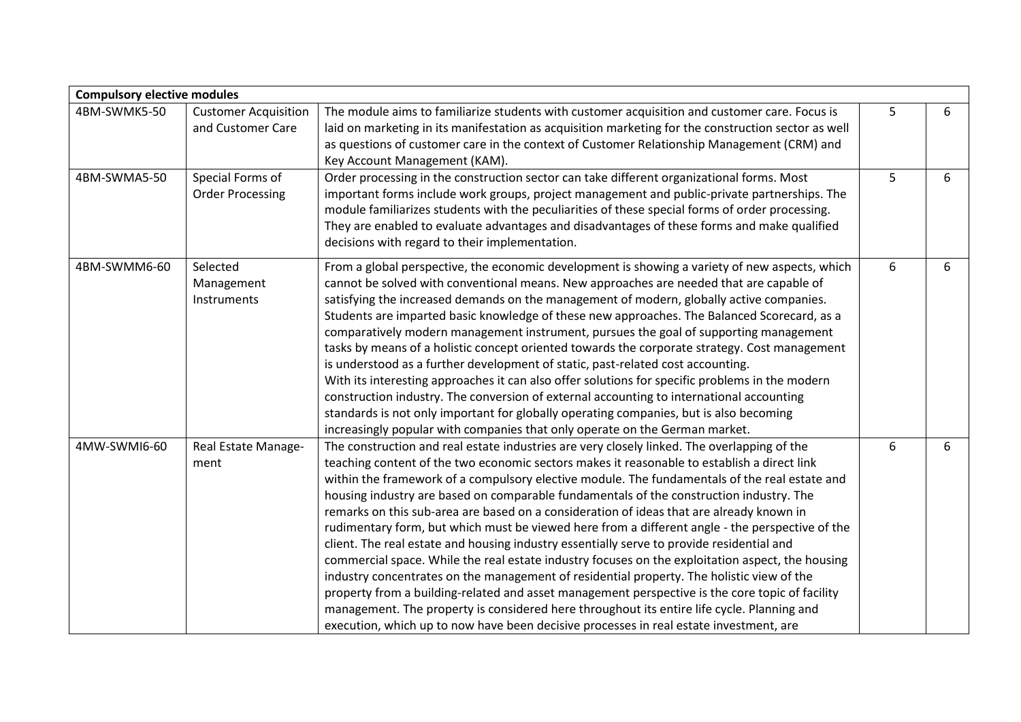| <b>Compulsory elective modules</b> |                                                  |                                                                                                                                                                                                                                                                                                                                                                                                                                                                                                                                                                                                                                                                                                                                                                                                                                                                                                                                                                                                                                                                                                                                                                                |   |   |
|------------------------------------|--------------------------------------------------|--------------------------------------------------------------------------------------------------------------------------------------------------------------------------------------------------------------------------------------------------------------------------------------------------------------------------------------------------------------------------------------------------------------------------------------------------------------------------------------------------------------------------------------------------------------------------------------------------------------------------------------------------------------------------------------------------------------------------------------------------------------------------------------------------------------------------------------------------------------------------------------------------------------------------------------------------------------------------------------------------------------------------------------------------------------------------------------------------------------------------------------------------------------------------------|---|---|
| 4BM-SWMK5-50                       | <b>Customer Acquisition</b><br>and Customer Care | The module aims to familiarize students with customer acquisition and customer care. Focus is<br>laid on marketing in its manifestation as acquisition marketing for the construction sector as well<br>as questions of customer care in the context of Customer Relationship Management (CRM) and<br>Key Account Management (KAM).                                                                                                                                                                                                                                                                                                                                                                                                                                                                                                                                                                                                                                                                                                                                                                                                                                            | 5 | 6 |
| 4BM-SWMA5-50                       | Special Forms of<br><b>Order Processing</b>      | Order processing in the construction sector can take different organizational forms. Most<br>important forms include work groups, project management and public-private partnerships. The<br>module familiarizes students with the peculiarities of these special forms of order processing.<br>They are enabled to evaluate advantages and disadvantages of these forms and make qualified<br>decisions with regard to their implementation.                                                                                                                                                                                                                                                                                                                                                                                                                                                                                                                                                                                                                                                                                                                                  | 5 | 6 |
| 4BM-SWMM6-60                       | Selected<br>Management<br>Instruments            | From a global perspective, the economic development is showing a variety of new aspects, which<br>cannot be solved with conventional means. New approaches are needed that are capable of<br>satisfying the increased demands on the management of modern, globally active companies.<br>Students are imparted basic knowledge of these new approaches. The Balanced Scorecard, as a<br>comparatively modern management instrument, pursues the goal of supporting management<br>tasks by means of a holistic concept oriented towards the corporate strategy. Cost management<br>is understood as a further development of static, past-related cost accounting.<br>With its interesting approaches it can also offer solutions for specific problems in the modern<br>construction industry. The conversion of external accounting to international accounting<br>standards is not only important for globally operating companies, but is also becoming<br>increasingly popular with companies that only operate on the German market.                                                                                                                                      | 6 | 6 |
| 4MW-SWMI6-60                       | Real Estate Manage-<br>ment                      | The construction and real estate industries are very closely linked. The overlapping of the<br>teaching content of the two economic sectors makes it reasonable to establish a direct link<br>within the framework of a compulsory elective module. The fundamentals of the real estate and<br>housing industry are based on comparable fundamentals of the construction industry. The<br>remarks on this sub-area are based on a consideration of ideas that are already known in<br>rudimentary form, but which must be viewed here from a different angle - the perspective of the<br>client. The real estate and housing industry essentially serve to provide residential and<br>commercial space. While the real estate industry focuses on the exploitation aspect, the housing<br>industry concentrates on the management of residential property. The holistic view of the<br>property from a building-related and asset management perspective is the core topic of facility<br>management. The property is considered here throughout its entire life cycle. Planning and<br>execution, which up to now have been decisive processes in real estate investment, are | 6 | 6 |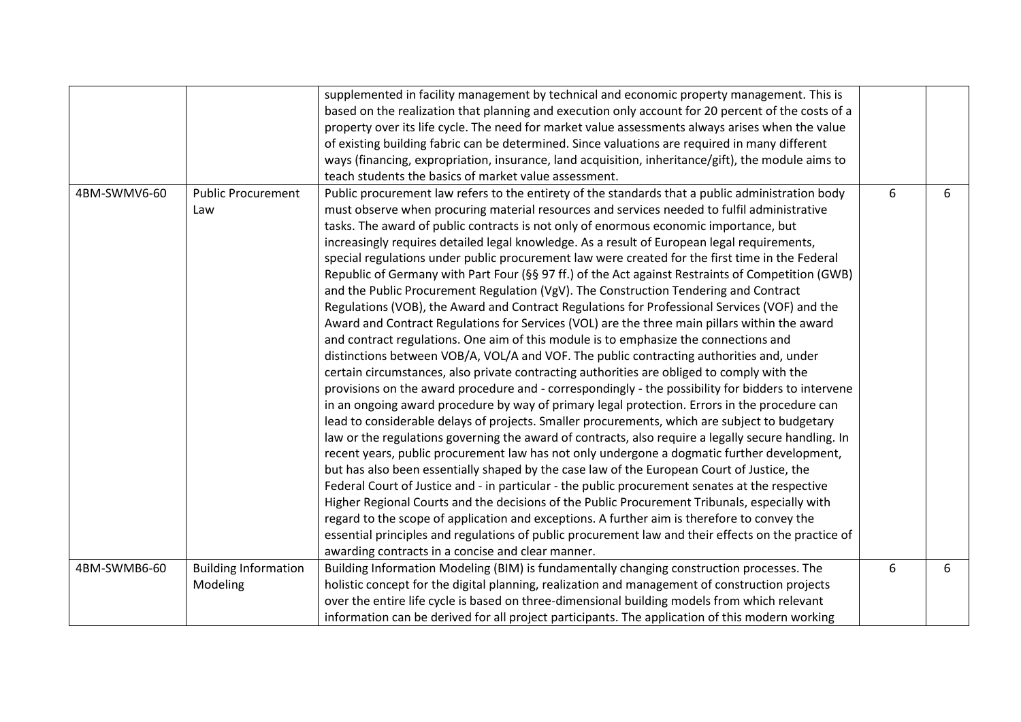|              |                             | supplemented in facility management by technical and economic property management. This is          |   |   |
|--------------|-----------------------------|-----------------------------------------------------------------------------------------------------|---|---|
|              |                             | based on the realization that planning and execution only account for 20 percent of the costs of a  |   |   |
|              |                             | property over its life cycle. The need for market value assessments always arises when the value    |   |   |
|              |                             | of existing building fabric can be determined. Since valuations are required in many different      |   |   |
|              |                             | ways (financing, expropriation, insurance, land acquisition, inheritance/gift), the module aims to  |   |   |
|              |                             | teach students the basics of market value assessment.                                               |   |   |
| 4BM-SWMV6-60 | <b>Public Procurement</b>   | Public procurement law refers to the entirety of the standards that a public administration body    | 6 | 6 |
|              | Law                         | must observe when procuring material resources and services needed to fulfil administrative         |   |   |
|              |                             | tasks. The award of public contracts is not only of enormous economic importance, but               |   |   |
|              |                             | increasingly requires detailed legal knowledge. As a result of European legal requirements,         |   |   |
|              |                             | special regulations under public procurement law were created for the first time in the Federal     |   |   |
|              |                             | Republic of Germany with Part Four (§§ 97 ff.) of the Act against Restraints of Competition (GWB)   |   |   |
|              |                             | and the Public Procurement Regulation (VgV). The Construction Tendering and Contract                |   |   |
|              |                             | Regulations (VOB), the Award and Contract Regulations for Professional Services (VOF) and the       |   |   |
|              |                             | Award and Contract Regulations for Services (VOL) are the three main pillars within the award       |   |   |
|              |                             | and contract regulations. One aim of this module is to emphasize the connections and                |   |   |
|              |                             | distinctions between VOB/A, VOL/A and VOF. The public contracting authorities and, under            |   |   |
|              |                             | certain circumstances, also private contracting authorities are obliged to comply with the          |   |   |
|              |                             | provisions on the award procedure and - correspondingly - the possibility for bidders to intervene  |   |   |
|              |                             | in an ongoing award procedure by way of primary legal protection. Errors in the procedure can       |   |   |
|              |                             | lead to considerable delays of projects. Smaller procurements, which are subject to budgetary       |   |   |
|              |                             | law or the regulations governing the award of contracts, also require a legally secure handling. In |   |   |
|              |                             | recent years, public procurement law has not only undergone a dogmatic further development,         |   |   |
|              |                             | but has also been essentially shaped by the case law of the European Court of Justice, the          |   |   |
|              |                             | Federal Court of Justice and - in particular - the public procurement senates at the respective     |   |   |
|              |                             | Higher Regional Courts and the decisions of the Public Procurement Tribunals, especially with       |   |   |
|              |                             | regard to the scope of application and exceptions. A further aim is therefore to convey the         |   |   |
|              |                             | essential principles and regulations of public procurement law and their effects on the practice of |   |   |
|              |                             | awarding contracts in a concise and clear manner.                                                   |   |   |
| 4BM-SWMB6-60 | <b>Building Information</b> | Building Information Modeling (BIM) is fundamentally changing construction processes. The           | 6 | 6 |
|              | Modeling                    | holistic concept for the digital planning, realization and management of construction projects      |   |   |
|              |                             | over the entire life cycle is based on three-dimensional building models from which relevant        |   |   |
|              |                             | information can be derived for all project participants. The application of this modern working     |   |   |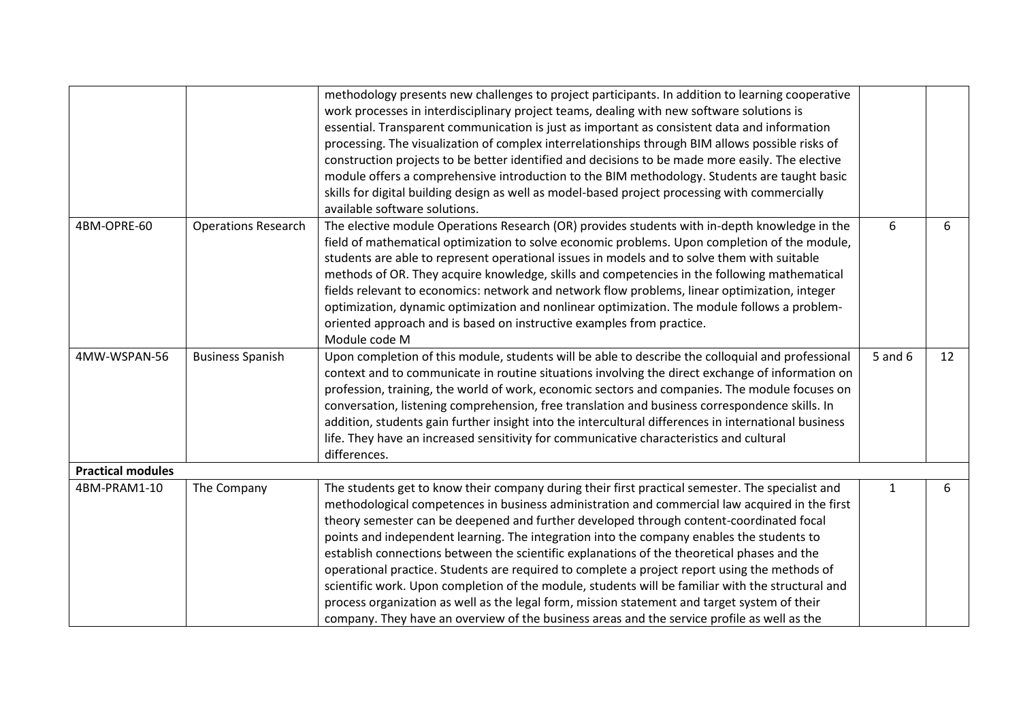|                          |                            | methodology presents new challenges to project participants. In addition to learning cooperative     |              |    |
|--------------------------|----------------------------|------------------------------------------------------------------------------------------------------|--------------|----|
|                          |                            | work processes in interdisciplinary project teams, dealing with new software solutions is            |              |    |
|                          |                            | essential. Transparent communication is just as important as consistent data and information         |              |    |
|                          |                            | processing. The visualization of complex interrelationships through BIM allows possible risks of     |              |    |
|                          |                            | construction projects to be better identified and decisions to be made more easily. The elective     |              |    |
|                          |                            | module offers a comprehensive introduction to the BIM methodology. Students are taught basic         |              |    |
|                          |                            | skills for digital building design as well as model-based project processing with commercially       |              |    |
|                          |                            | available software solutions.                                                                        |              |    |
| 4BM-OPRE-60              | <b>Operations Research</b> | The elective module Operations Research (OR) provides students with in-depth knowledge in the        | 6            | 6  |
|                          |                            | field of mathematical optimization to solve economic problems. Upon completion of the module,        |              |    |
|                          |                            | students are able to represent operational issues in models and to solve them with suitable          |              |    |
|                          |                            | methods of OR. They acquire knowledge, skills and competencies in the following mathematical         |              |    |
|                          |                            | fields relevant to economics: network and network flow problems, linear optimization, integer        |              |    |
|                          |                            | optimization, dynamic optimization and nonlinear optimization. The module follows a problem-         |              |    |
|                          |                            | oriented approach and is based on instructive examples from practice.                                |              |    |
|                          |                            | Module code M                                                                                        |              |    |
| 4MW-WSPAN-56             | <b>Business Spanish</b>    | Upon completion of this module, students will be able to describe the colloquial and professional    | 5 and 6      | 12 |
|                          |                            | context and to communicate in routine situations involving the direct exchange of information on     |              |    |
|                          |                            | profession, training, the world of work, economic sectors and companies. The module focuses on       |              |    |
|                          |                            | conversation, listening comprehension, free translation and business correspondence skills. In       |              |    |
|                          |                            | addition, students gain further insight into the intercultural differences in international business |              |    |
|                          |                            | life. They have an increased sensitivity for communicative characteristics and cultural              |              |    |
|                          |                            | differences.                                                                                         |              |    |
| <b>Practical modules</b> |                            |                                                                                                      |              |    |
| 4BM-PRAM1-10             | The Company                | The students get to know their company during their first practical semester. The specialist and     | $\mathbf{1}$ | 6  |
|                          |                            | methodological competences in business administration and commercial law acquired in the first       |              |    |
|                          |                            | theory semester can be deepened and further developed through content-coordinated focal              |              |    |
|                          |                            | points and independent learning. The integration into the company enables the students to            |              |    |
|                          |                            | establish connections between the scientific explanations of the theoretical phases and the          |              |    |
|                          |                            | operational practice. Students are required to complete a project report using the methods of        |              |    |
|                          |                            | scientific work. Upon completion of the module, students will be familiar with the structural and    |              |    |
|                          |                            | process organization as well as the legal form, mission statement and target system of their         |              |    |
|                          |                            | company. They have an overview of the business areas and the service profile as well as the          |              |    |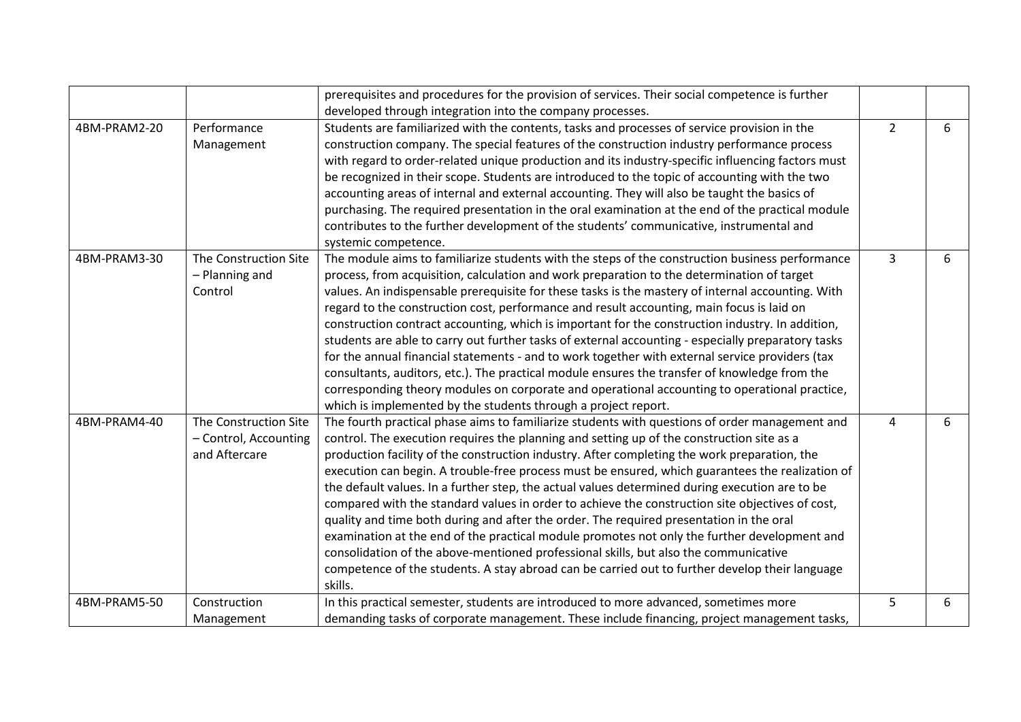|              |                       | prerequisites and procedures for the provision of services. Their social competence is further     |                |   |
|--------------|-----------------------|----------------------------------------------------------------------------------------------------|----------------|---|
|              |                       |                                                                                                    |                |   |
|              |                       | developed through integration into the company processes.                                          |                |   |
| 4BM-PRAM2-20 | Performance           | Students are familiarized with the contents, tasks and processes of service provision in the       | $\overline{2}$ | 6 |
|              | Management            | construction company. The special features of the construction industry performance process        |                |   |
|              |                       | with regard to order-related unique production and its industry-specific influencing factors must  |                |   |
|              |                       | be recognized in their scope. Students are introduced to the topic of accounting with the two      |                |   |
|              |                       | accounting areas of internal and external accounting. They will also be taught the basics of       |                |   |
|              |                       | purchasing. The required presentation in the oral examination at the end of the practical module   |                |   |
|              |                       | contributes to the further development of the students' communicative, instrumental and            |                |   |
|              |                       | systemic competence.                                                                               |                |   |
| 4BM-PRAM3-30 | The Construction Site | The module aims to familiarize students with the steps of the construction business performance    | 3              | 6 |
|              | - Planning and        | process, from acquisition, calculation and work preparation to the determination of target         |                |   |
|              | Control               | values. An indispensable prerequisite for these tasks is the mastery of internal accounting. With  |                |   |
|              |                       | regard to the construction cost, performance and result accounting, main focus is laid on          |                |   |
|              |                       | construction contract accounting, which is important for the construction industry. In addition,   |                |   |
|              |                       | students are able to carry out further tasks of external accounting - especially preparatory tasks |                |   |
|              |                       | for the annual financial statements - and to work together with external service providers (tax    |                |   |
|              |                       | consultants, auditors, etc.). The practical module ensures the transfer of knowledge from the      |                |   |
|              |                       | corresponding theory modules on corporate and operational accounting to operational practice,      |                |   |
|              |                       | which is implemented by the students through a project report.                                     |                |   |
| 4BM-PRAM4-40 | The Construction Site | The fourth practical phase aims to familiarize students with questions of order management and     | 4              | 6 |
|              | - Control, Accounting | control. The execution requires the planning and setting up of the construction site as a          |                |   |
|              | and Aftercare         | production facility of the construction industry. After completing the work preparation, the       |                |   |
|              |                       | execution can begin. A trouble-free process must be ensured, which guarantees the realization of   |                |   |
|              |                       | the default values. In a further step, the actual values determined during execution are to be     |                |   |
|              |                       | compared with the standard values in order to achieve the construction site objectives of cost,    |                |   |
|              |                       | quality and time both during and after the order. The required presentation in the oral            |                |   |
|              |                       | examination at the end of the practical module promotes not only the further development and       |                |   |
|              |                       | consolidation of the above-mentioned professional skills, but also the communicative               |                |   |
|              |                       | competence of the students. A stay abroad can be carried out to further develop their language     |                |   |
|              |                       | skills.                                                                                            |                |   |
| 4BM-PRAM5-50 | Construction          | In this practical semester, students are introduced to more advanced, sometimes more               | 5              | 6 |
|              | Management            | demanding tasks of corporate management. These include financing, project management tasks,        |                |   |